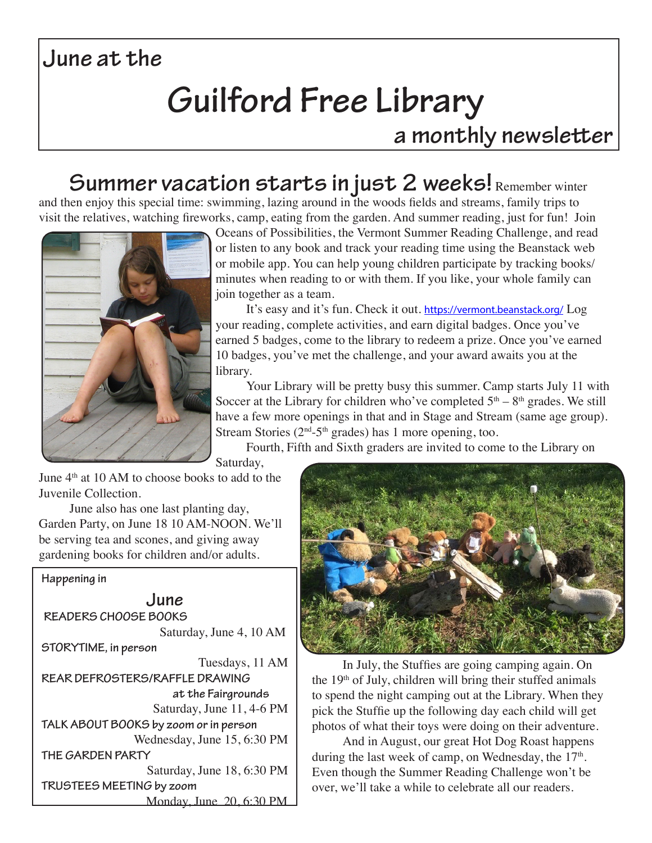### **June at the**

# **Guilford Free Library**

### **a monthly newsletter**

### Summer vacation starts in just 2 weeks! Remember winter

and then enjoy this special time: swimming, lazing around in the woods fields and streams, family trips to visit the relatives, watching fireworks, camp, eating from the garden. And summer reading, just for fun! Join



Oceans of Possibilities, the Vermont Summer Reading Challenge, and read or listen to any book and track your reading time using the Beanstack web or mobile app. You can help young children participate by tracking books/ minutes when reading to or with them. If you like, your whole family can join together as a team.

It's easy and it's fun. Check it out. https://vermont.beanstack.org/ Log your reading, complete activities, and earn digital badges. Once you've earned 5 badges, come to the library to redeem a prize. Once you've earned 10 badges, you've met the challenge, and your award awaits you at the library.

Your Library will be pretty busy this summer. Camp starts July 11 with Soccer at the Library for children who've completed  $5<sup>th</sup> - 8<sup>th</sup>$  grades. We still have a few more openings in that and in Stage and Stream (same age group). Stream Stories ( $2<sup>nd</sup> - 5<sup>th</sup>$  grades) has 1 more opening, too.

Fourth, Fifth and Sixth graders are invited to come to the Library on

Saturday,

June  $4<sup>th</sup>$  at 10 AM to choose books to add to the Juvenile Collection.

June also has one last planting day, Garden Party, on June 18 10 AM-NOON. We'll be serving tea and scones, and giving away gardening books for children and/or adults.

#### **Happening in**

**June READERS CHOOSE BOOKS** Saturday, June 4, 10 AM **STORYTIME, in person** Tuesdays, 11 AM **REAR DEFROSTERS/RAFFLE DRAWING at the Fairgrounds** Saturday, June 11, 4-6 PM **TALK ABOUT BOOKS by zoom or in person** Wednesday, June 15, 6:30 PM **THE GARDEN PARTY** Saturday, June 18, 6:30 PM **TRUSTEES MEETING by zoom** Monday, June 20, 6:30 PM



In July, the Stuffies are going camping again. On the 19th of July, children will bring their stuffed animals to spend the night camping out at the Library. When they pick the Stuffie up the following day each child will get photos of what their toys were doing on their adventure.

And in August, our great Hot Dog Roast happens during the last week of camp, on Wednesday, the  $17<sup>th</sup>$ . Even though the Summer Reading Challenge won't be over, we'll take a while to celebrate all our readers.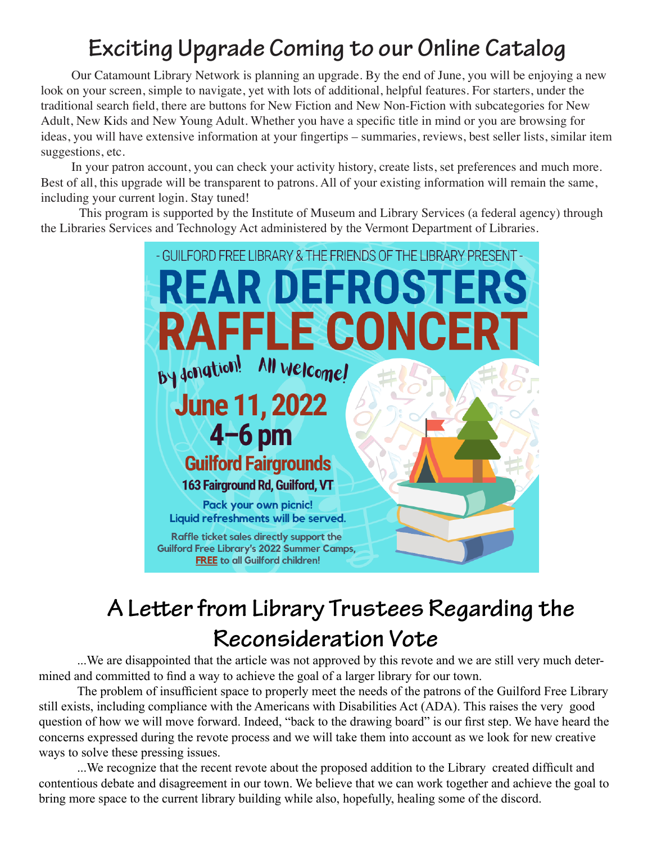### **Exciting Upgrade Coming to our Online Catalog**

Our Catamount Library Network is planning an upgrade. By the end of June, you will be enjoying a new look on your screen, simple to navigate, yet with lots of additional, helpful features. For starters, under the traditional search field, there are buttons for New Fiction and New Non-Fiction with subcategories for New Adult, New Kids and New Young Adult. Whether you have a specific title in mind or you are browsing for ideas, you will have extensive information at your fingertips – summaries, reviews, best seller lists, similar item suggestions, etc.

In your patron account, you can check your activity history, create lists, set preferences and much more. Best of all, this upgrade will be transparent to patrons. All of your existing information will remain the same, including your current login. Stay tuned!

This program is supported by the Institute of Museum and Library Services (a federal agency) through the Libraries Services and Technology Act administered by the Vermont Department of Libraries.



## **A Letter from Library Trustees Regarding the Reconsideration Vote**

...We are disappointed that the article was not approved by this revote and we are still very much determined and committed to find a way to achieve the goal of a larger library for our town.

The problem of insufficient space to properly meet the needs of the patrons of the Guilford Free Library still exists, including compliance with the Americans with Disabilities Act (ADA). This raises the very good question of how we will move forward. Indeed, "back to the drawing board" is our first step. We have heard the concerns expressed during the revote process and we will take them into account as we look for new creative ways to solve these pressing issues.

...We recognize that the recent revote about the proposed addition to the Library created difficult and contentious debate and disagreement in our town. We believe that we can work together and achieve the goal to bring more space to the current library building while also, hopefully, healing some of the discord.